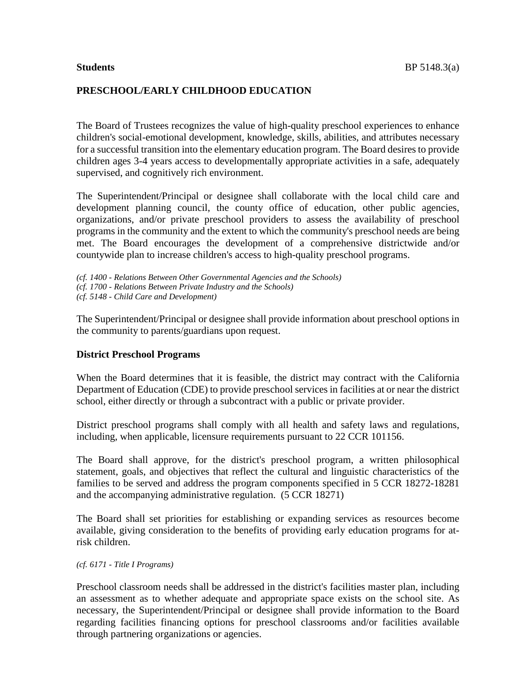#### **PRESCHOOL/EARLY CHILDHOOD EDUCATION**

The Board of Trustees recognizes the value of high-quality preschool experiences to enhance children's social-emotional development, knowledge, skills, abilities, and attributes necessary for a successful transition into the elementary education program. The Board desires to provide children ages 3-4 years access to developmentally appropriate activities in a safe, adequately supervised, and cognitively rich environment.

The Superintendent/Principal or designee shall collaborate with the local child care and development planning council, the county office of education, other public agencies, organizations, and/or private preschool providers to assess the availability of preschool programs in the community and the extent to which the community's preschool needs are being met. The Board encourages the development of a comprehensive districtwide and/or countywide plan to increase children's access to high-quality preschool programs.

The Superintendent/Principal or designee shall provide information about preschool options in the community to parents/guardians upon request.

#### **District Preschool Programs**

When the Board determines that it is feasible, the district may contract with the California Department of Education (CDE) to provide preschool services in facilities at or near the district school, either directly or through a subcontract with a public or private provider.

District preschool programs shall comply with all health and safety laws and regulations, including, when applicable, licensure requirements pursuant to 22 CCR 101156.

The Board shall approve, for the district's preschool program, a written philosophical statement, goals, and objectives that reflect the cultural and linguistic characteristics of the families to be served and address the program components specified in 5 CCR 18272-18281 and the accompanying administrative regulation. (5 CCR 18271)

The Board shall set priorities for establishing or expanding services as resources become available, giving consideration to the benefits of providing early education programs for atrisk children.

*(cf. 6171 - Title I Programs)*

Preschool classroom needs shall be addressed in the district's facilities master plan, including an assessment as to whether adequate and appropriate space exists on the school site. As necessary, the Superintendent/Principal or designee shall provide information to the Board regarding facilities financing options for preschool classrooms and/or facilities available through partnering organizations or agencies.

*<sup>(</sup>cf. 1400 - Relations Between Other Governmental Agencies and the Schools) (cf. 1700 - Relations Between Private Industry and the Schools) (cf. 5148 - Child Care and Development)*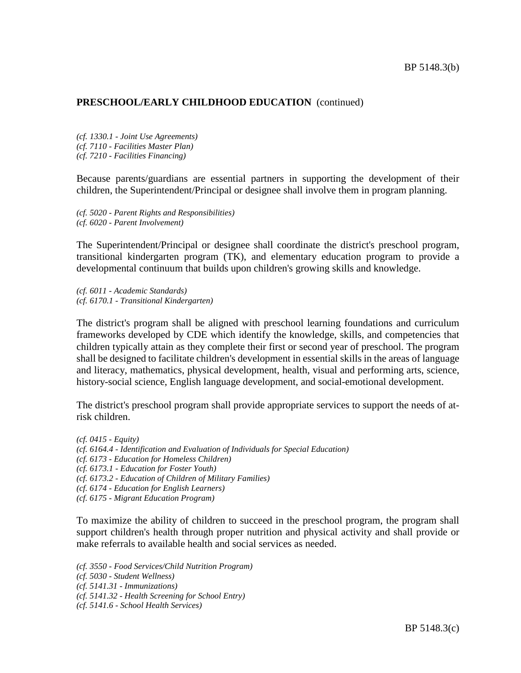*(cf. 1330.1 - Joint Use Agreements) (cf. 7110 - Facilities Master Plan) (cf. 7210 - Facilities Financing)*

Because parents/guardians are essential partners in supporting the development of their children, the Superintendent/Principal or designee shall involve them in program planning.

*(cf. 5020 - Parent Rights and Responsibilities) (cf. 6020 - Parent Involvement)*

The Superintendent/Principal or designee shall coordinate the district's preschool program, transitional kindergarten program (TK), and elementary education program to provide a developmental continuum that builds upon children's growing skills and knowledge.

*(cf. 6011 - Academic Standards) (cf. 6170.1 - Transitional Kindergarten)*

The district's program shall be aligned with preschool learning foundations and curriculum frameworks developed by CDE which identify the knowledge, skills, and competencies that children typically attain as they complete their first or second year of preschool. The program shall be designed to facilitate children's development in essential skills in the areas of language and literacy, mathematics, physical development, health, visual and performing arts, science, history-social science, English language development, and social-emotional development.

The district's preschool program shall provide appropriate services to support the needs of atrisk children.

*(cf. 0415 - Equity) (cf. 6164.4 - Identification and Evaluation of Individuals for Special Education) (cf. 6173 - Education for Homeless Children) (cf. 6173.1 - Education for Foster Youth) (cf. 6173.2 - Education of Children of Military Families) (cf. 6174 - Education for English Learners) (cf. 6175 - Migrant Education Program)*

To maximize the ability of children to succeed in the preschool program, the program shall support children's health through proper nutrition and physical activity and shall provide or make referrals to available health and social services as needed.

*(cf. 3550 - Food Services/Child Nutrition Program) (cf. 5030 - Student Wellness)*

*(cf. 5141.31 - Immunizations)*

*(cf. 5141.32 - Health Screening for School Entry)*

*(cf. 5141.6 - School Health Services)*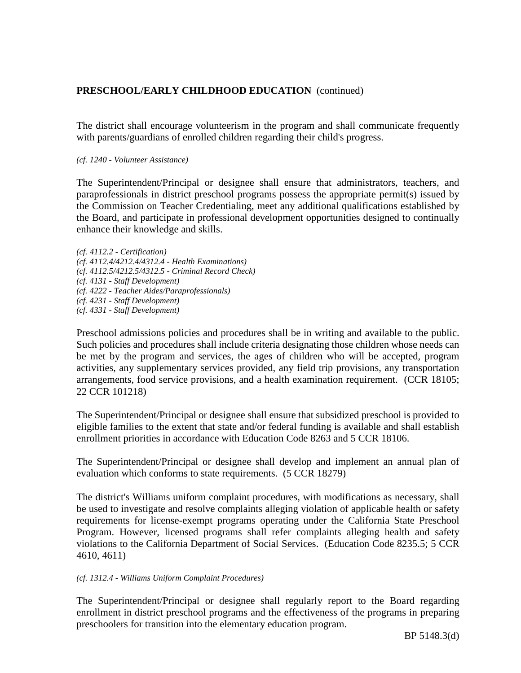The district shall encourage volunteerism in the program and shall communicate frequently with parents/guardians of enrolled children regarding their child's progress.

*(cf. 1240 - Volunteer Assistance)*

The Superintendent/Principal or designee shall ensure that administrators, teachers, and paraprofessionals in district preschool programs possess the appropriate permit(s) issued by the Commission on Teacher Credentialing, meet any additional qualifications established by the Board, and participate in professional development opportunities designed to continually enhance their knowledge and skills.

*(cf. 4112.2 - Certification) (cf. 4112.4/4212.4/4312.4 - Health Examinations) (cf. 4112.5/4212.5/4312.5 - Criminal Record Check) (cf. 4131 - Staff Development) (cf. 4222 - Teacher Aides/Paraprofessionals) (cf. 4231 - Staff Development) (cf. 4331 - Staff Development)*

Preschool admissions policies and procedures shall be in writing and available to the public. Such policies and procedures shall include criteria designating those children whose needs can be met by the program and services, the ages of children who will be accepted, program activities, any supplementary services provided, any field trip provisions, any transportation arrangements, food service provisions, and a health examination requirement. (CCR 18105; 22 CCR 101218)

The Superintendent/Principal or designee shall ensure that subsidized preschool is provided to eligible families to the extent that state and/or federal funding is available and shall establish enrollment priorities in accordance with Education Code 8263 and 5 CCR 18106.

The Superintendent/Principal or designee shall develop and implement an annual plan of evaluation which conforms to state requirements. (5 CCR 18279)

The district's Williams uniform complaint procedures, with modifications as necessary, shall be used to investigate and resolve complaints alleging violation of applicable health or safety requirements for license-exempt programs operating under the California State Preschool Program. However, licensed programs shall refer complaints alleging health and safety violations to the California Department of Social Services. (Education Code 8235.5; 5 CCR 4610, 4611)

#### *(cf. 1312.4 - Williams Uniform Complaint Procedures)*

The Superintendent/Principal or designee shall regularly report to the Board regarding enrollment in district preschool programs and the effectiveness of the programs in preparing preschoolers for transition into the elementary education program.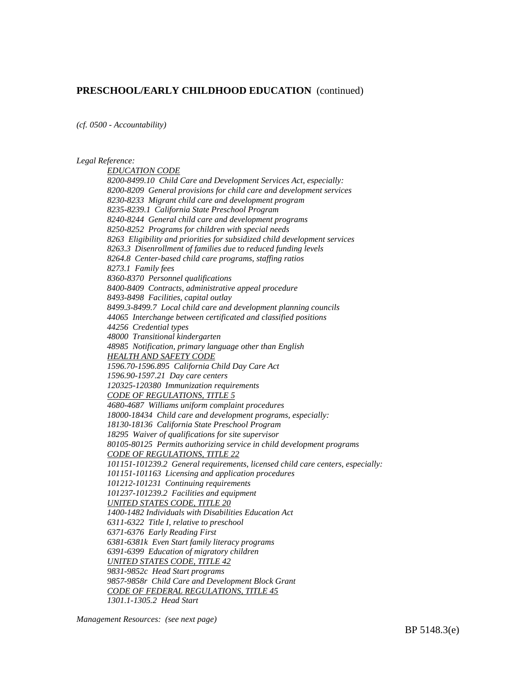*(cf. 0500 - Accountability)*

*Legal Reference:*

*EDUCATION CODE 8200-8499.10 Child Care and Development Services Act, especially: 8200-8209 General provisions for child care and development services 8230-8233 Migrant child care and development program 8235-8239.1 California State Preschool Program 8240-8244 General child care and development programs 8250-8252 Programs for children with special needs 8263 Eligibility and priorities for subsidized child development services 8263.3 Disenrollment of families due to reduced funding levels 8264.8 Center-based child care programs, staffing ratios 8273.1 Family fees 8360-8370 Personnel qualifications 8400-8409 Contracts, administrative appeal procedure 8493-8498 Facilities, capital outlay 8499.3-8499.7 Local child care and development planning councils 44065 Interchange between certificated and classified positions 44256 Credential types 48000 Transitional kindergarten 48985 Notification, primary language other than English HEALTH AND SAFETY CODE 1596.70-1596.895 California Child Day Care Act 1596.90-1597.21 Day care centers 120325-120380 Immunization requirements CODE OF REGULATIONS, TITLE 5 4680-4687 Williams uniform complaint procedures 18000-18434 Child care and development programs, especially: 18130-18136 California State Preschool Program 18295 Waiver of qualifications for site supervisor 80105-80125 Permits authorizing service in child development programs CODE OF REGULATIONS, TITLE 22 101151-101239.2 General requirements, licensed child care centers, especially: 101151-101163 Licensing and application procedures 101212-101231 Continuing requirements 101237-101239.2 Facilities and equipment UNITED STATES CODE, TITLE 20 1400-1482 Individuals with Disabilities Education Act 6311-6322 Title I, relative to preschool 6371-6376 Early Reading First 6381-6381k Even Start family literacy programs 6391-6399 Education of migratory children UNITED STATES CODE, TITLE 42 9831-9852c Head Start programs 9857-9858r Child Care and Development Block Grant CODE OF FEDERAL REGULATIONS, TITLE 45 1301.1-1305.2 Head Start*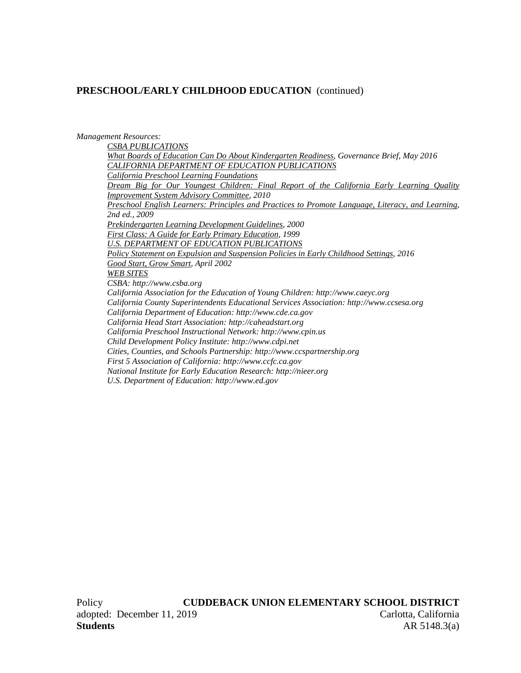*Management Resources: CSBA PUBLICATIONS What Boards of Education Can Do About Kindergarten Readiness, Governance Brief, May 2016 CALIFORNIA DEPARTMENT OF EDUCATION PUBLICATIONS California Preschool Learning Foundations Dream Big for Our Youngest Children: Final Report of the California Early Learning Quality Improvement System Advisory Committee, 2010 Preschool English Learners: Principles and Practices to Promote Language, Literacy, and Learning, 2nd ed., 2009 Prekindergarten Learning Development Guidelines, 2000 First Class: A Guide for Early Primary Education, 1999 U.S. DEPARTMENT OF EDUCATION PUBLICATIONS Policy Statement on Expulsion and Suspension Policies in Early Childhood Settings, 2016 Good Start, Grow Smart, April 2002 WEB SITES CSBA: http://www.csba.org California Association for the Education of Young Children: http://www.caeyc.org California County Superintendents Educational Services Association: http://www.ccsesa.org California Department of Education: http://www.cde.ca.gov California Head Start Association: http://caheadstart.org California Preschool Instructional Network: http://www.cpin.us Child Development Policy Institute: http://www.cdpi.net Cities, Counties, and Schools Partnership: http://www.ccspartnership.org First 5 Association of California: http://www.ccfc.ca.gov National Institute for Early Education Research: http://nieer.org U.S. Department of Education: http://www.ed.gov*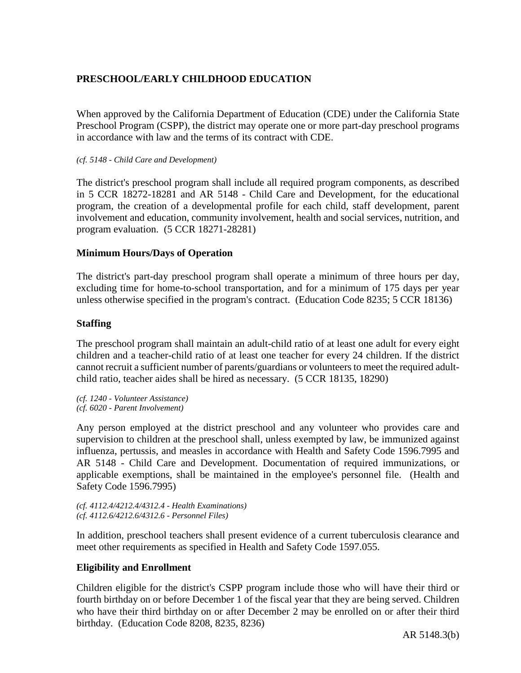# **PRESCHOOL/EARLY CHILDHOOD EDUCATION**

When approved by the California Department of Education (CDE) under the California State Preschool Program (CSPP), the district may operate one or more part-day preschool programs in accordance with law and the terms of its contract with CDE.

#### *(cf. 5148 - Child Care and Development)*

The district's preschool program shall include all required program components, as described in 5 CCR 18272-18281 and AR 5148 - Child Care and Development, for the educational program, the creation of a developmental profile for each child, staff development, parent involvement and education, community involvement, health and social services, nutrition, and program evaluation. (5 CCR 18271-28281)

## **Minimum Hours/Days of Operation**

The district's part-day preschool program shall operate a minimum of three hours per day, excluding time for home-to-school transportation, and for a minimum of 175 days per year unless otherwise specified in the program's contract. (Education Code 8235; 5 CCR 18136)

## **Staffing**

The preschool program shall maintain an adult-child ratio of at least one adult for every eight children and a teacher-child ratio of at least one teacher for every 24 children. If the district cannot recruit a sufficient number of parents/guardians or volunteersto meet the required adultchild ratio, teacher aides shall be hired as necessary. (5 CCR 18135, 18290)

*(cf. 1240 - Volunteer Assistance) (cf. 6020 - Parent Involvement)*

Any person employed at the district preschool and any volunteer who provides care and supervision to children at the preschool shall, unless exempted by law, be immunized against influenza, pertussis, and measles in accordance with Health and Safety Code 1596.7995 and AR 5148 - Child Care and Development. Documentation of required immunizations, or applicable exemptions, shall be maintained in the employee's personnel file. (Health and Safety Code 1596.7995)

```
(cf. 4112.4/4212.4/4312.4 - Health Examinations)
(cf. 4112.6/4212.6/4312.6 - Personnel Files)
```
In addition, preschool teachers shall present evidence of a current tuberculosis clearance and meet other requirements as specified in Health and Safety Code 1597.055.

## **Eligibility and Enrollment**

Children eligible for the district's CSPP program include those who will have their third or fourth birthday on or before December 1 of the fiscal year that they are being served. Children who have their third birthday on or after December 2 may be enrolled on or after their third birthday. (Education Code 8208, 8235, 8236)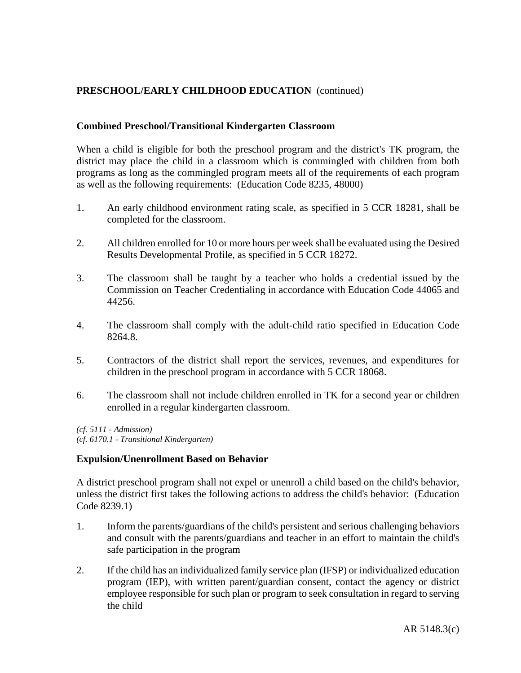## **Combined Preschool/Transitional Kindergarten Classroom**

When a child is eligible for both the preschool program and the district's TK program, the district may place the child in a classroom which is commingled with children from both programs as long as the commingled program meets all of the requirements of each program as well as the following requirements: (Education Code 8235, 48000)

- 1. An early childhood environment rating scale, as specified in 5 CCR 18281, shall be completed for the classroom.
- 2. All children enrolled for 10 or more hours per week shall be evaluated using the Desired Results Developmental Profile, as specified in 5 CCR 18272.
- 3. The classroom shall be taught by a teacher who holds a credential issued by the Commission on Teacher Credentialing in accordance with Education Code 44065 and 44256.
- 4. The classroom shall comply with the adult-child ratio specified in Education Code 8264.8.
- 5. Contractors of the district shall report the services, revenues, and expenditures for children in the preschool program in accordance with 5 CCR 18068.
- 6. The classroom shall not include children enrolled in TK for a second year or children enrolled in a regular kindergarten classroom.

*(cf. 5111 - Admission) (cf. 6170.1 - Transitional Kindergarten)*

### **Expulsion/Unenrollment Based on Behavior**

A district preschool program shall not expel or unenroll a child based on the child's behavior, unless the district first takes the following actions to address the child's behavior: (Education Code 8239.1)

- 1. Inform the parents/guardians of the child's persistent and serious challenging behaviors and consult with the parents/guardians and teacher in an effort to maintain the child's safe participation in the program
- 2. If the child has an individualized family service plan (IFSP) or individualized education program (IEP), with written parent/guardian consent, contact the agency or district employee responsible for such plan or program to seek consultation in regard to serving the child